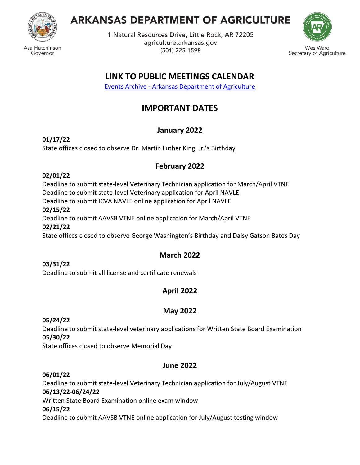

# **ARKANSAS DEPARTMENT OF AGRICULTURE**

1 Natural Resources Drive, Little Rock, AR 72205 agriculture.arkansas.gov (501) 225-1598



s Ward Secretary of Agriculture

# **LINK TO PUBLIC MEETINGS CALENDAR**

Events Archive - [Arkansas Department of Agriculture](https://www.agriculture.arkansas.gov/events/)

# **IMPORTANT DATES**

# **January 2022**

**01/17/22** State offices closed to observe Dr. Martin Luther King, Jr.'s Birthday

# **February 2022**

## **02/01/22**

Deadline to submit state-level Veterinary Technician application for March/April VTNE Deadline to submit state-level Veterinary application for April NAVLE Deadline to submit ICVA NAVLE online application for April NAVLE

#### **02/15/22**

Deadline to submit AAVSB VTNE online application for March/April VTNE **02/21/22** State offices closed to observe George Washington's Birthday and Daisy Gatson Bates Day

# **March 2022**

## **03/31/22**

Deadline to submit all license and certificate renewals

# **April 2022**

# **May 2022**

## **05/24/22**

Deadline to submit state-level veterinary applications for Written State Board Examination **05/30/22**

State offices closed to observe Memorial Day

# **June 2022**

# **06/01/22**

Deadline to submit state-level Veterinary Technician application for July/August VTNE **06/13/22-06/24/22**

Written State Board Examination online exam window

## **06/15/22**

Deadline to submit AAVSB VTNE online application for July/August testing window